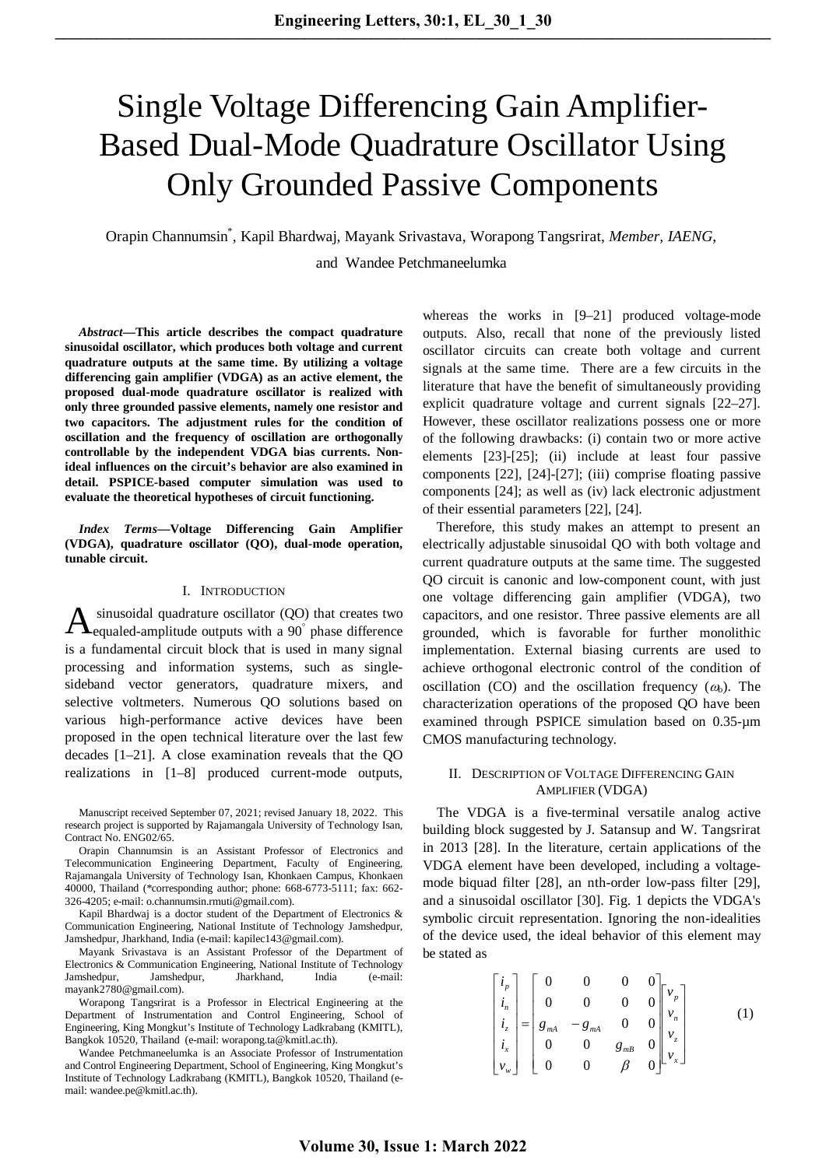# Single Voltage Differencing Gain Amplifier-Based Dual-Mode Quadrature Oscillator Using Only Grounded Passive Components

Orapin Channumsin\* , Kapil Bhardwaj, Mayank Srivastava, Worapong Tangsrirat, *Member, IAENG*,

and Wandee Petchmaneelumka

*Abstract***—This article describes the compact quadrature sinusoidal oscillator, which produces both voltage and current quadrature outputs at the same time. By utilizing a voltage differencing gain amplifier (VDGA) as an active element, the proposed dual-mode quadrature oscillator is realized with only three grounded passive elements, namely one resistor and two capacitors. The adjustment rules for the condition of oscillation and the frequency of oscillation are orthogonally controllable by the independent VDGA bias currents. Nonideal influences on the circuit's behavior are also examined in detail. PSPICE-based computer simulation was used to evaluate the theoretical hypotheses of circuit functioning.**

*Index Terms***—Voltage Differencing Gain Amplifier (VDGA), quadrature oscillator (QO), dual-mode operation, tunable circuit.**

#### I. INTRODUCTION

sinusoidal quadrature oscillator (QO) that creates two equaled-amplitude outputs with a 90° phase difference is a fundamental circuit block that is used in many signal processing and information systems, such as singlesideband vector generators, quadrature mixers, and selective voltmeters. Numerous QO solutions based on various high-performance active devices have been proposed in the open technical literature over the last few decades [1–21]. A close examination reveals that the QO realizations in [1–8] produced current-mode outputs, A

Manuscript received September 07, 2021; revised January 18, 2022. This research project is supported by Rajamangala University of Technology Isan, Contract No. ENG02/65.

Orapin Channumsin is an Assistant Professor of Electronics and Telecommunication Engineering Department, Faculty of Engineering, Rajamangala University of Technology Isan, Khonkaen Campus, Khonkaen 40000, Thailand (\*corresponding author; phone: 668-6773-5111; fax: 662- 326-4205; e-mail[: o.channumsin.rmuti@gmail.com\)](mailto::%20o.channumsin.rmuti@gmail.com).

Kapil Bhardwaj is a doctor student of the Department of Electronics & Communication Engineering, National Institute of Technology Jamshedpur, Jamshedpur, Jharkhand, India (e-mail: kapilec143@gmail.com).

Mayank Srivastava is an Assistant Professor of the Department of Electronics & Communication Engineering, National Institute of Technology Jamshedpur, Jamshedpur, Jharkhand, India (e-mail: mayank2780@gmail.com).

Worapong Tangsrirat is a Professor in Electrical Engineering at the Department of Instrumentation and Control Engineering, School of Engineering, King Mongkut's Institute of Technology Ladkrabang (KMITL), Bangkok 10520, Thailand (e-mail: [worapong.ta@kmitl.ac.th\)](mailto:worapong.ta@kmitl.ac.th).

Wandee Petchmaneelumka is an Associate Professor of Instrumentation and Control Engineering Department, School of Engineering, King Mongkut's Institute of Technology Ladkrabang (KMITL), Bangkok 10520, Thailand (email: [wandee.pe@kmitl.ac.th\)](mailto:wandee.pe@kmitl.ac.th).

whereas the works in [9–21] produced voltage-mode outputs. Also, recall that none of the previously listed oscillator circuits can create both voltage and current signals at the same time. There are a few circuits in the literature that have the benefit of simultaneously providing explicit quadrature voltage and current signals [22–27]. However, these oscillator realizations possess one or more of the following drawbacks: (i) contain two or more active elements [23]-[25]; (ii) include at least four passive components [22], [24]-[27]; (iii) comprise floating passive components [24]; as well as (iv) lack electronic adjustment of their essential parameters [22], [24].

Therefore, this study makes an attempt to present an electrically adjustable sinusoidal QO with both voltage and current quadrature outputs at the same time. The suggested QO circuit is canonic and low-component count, with just one voltage differencing gain amplifier (VDGA), two capacitors, and one resistor. Three passive elements are all grounded, which is favorable for further monolithic implementation. External biasing currents are used to achieve orthogonal electronic control of the condition of oscillation (CO) and the oscillation frequency  $(\omega_0)$ . The characterization operations of the proposed QO have been examined through PSPICE simulation based on 0.35-µm CMOS manufacturing technology.

#### II. DESCRIPTION OF VOLTAGE DIFFERENCING GAIN AMPLIFIER (VDGA)

The VDGA is a five-terminal versatile analog active building block suggested by J. Satansup and W. Tangsrirat in 2013 [28]. In the literature, certain applications of the VDGA element have been developed, including a voltagemode biquad filter [28], an nth-order low-pass filter [29], and a sinusoidal oscillator [30]. Fig. 1 depicts the VDGA's symbolic circuit representation. Ignoring the non-idealities of the device used, the ideal behavior of this element may be stated as

$$
\begin{bmatrix} i_p \\ i_n \\ i_z \\ i_z \\ v_w \end{bmatrix} = \begin{bmatrix} 0 & 0 & 0 & 0 \\ 0 & 0 & 0 & 0 \\ g_{mA} & -g_{mA} & 0 & 0 \\ 0 & 0 & g_{mB} & 0 \\ 0 & 0 & 0 & 0 \end{bmatrix} \begin{bmatrix} v_p \\ v_n \\ v_z \\ v_z \\ v_w \end{bmatrix}
$$
 (1)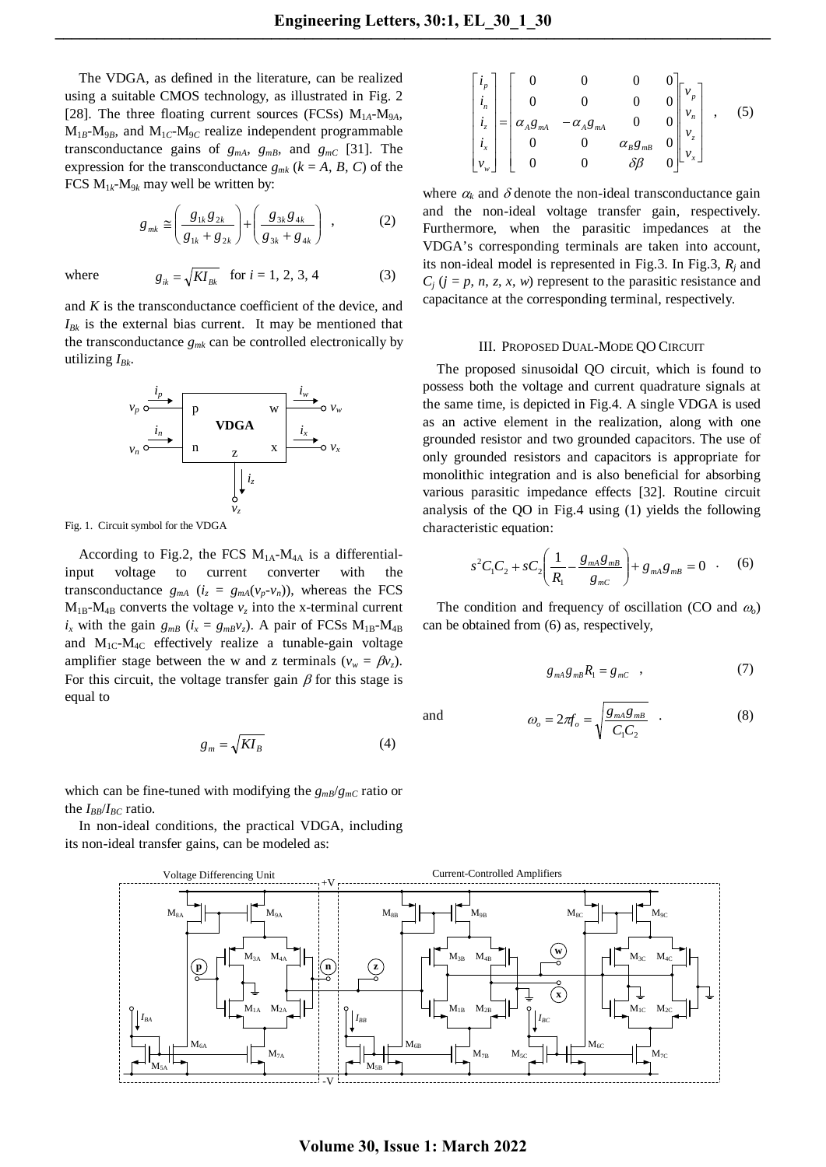The VDGA, as defined in the literature, can be realized using a suitable CMOS technology, as illustrated in Fig. 2 [28]. The three floating current sources (FCSs)  $M_{1A}$ - $M_{9A}$ ,  $M_{1B}$ -M<sub>9*B*</sub>, and  $M_{1C}$ -M<sub>9*C*</sub> realize independent programmable transconductance gains of  $g_{mA}$ ,  $g_{mB}$ , and  $g_{mC}$  [31]. The expression for the transconductance  $g_{mk}$  ( $k = A, B, C$ ) of the FCS  $M_{1k}$ - $M_{9k}$  may well be written by:

$$
g_{mk} \approx \left(\frac{g_{1k}g_{2k}}{g_{1k} + g_{2k}}\right) + \left(\frac{g_{3k}g_{4k}}{g_{3k} + g_{4k}}\right) ,\qquad (2)
$$

where 
$$
g_{ik} = \sqrt{KI_{Bk}}
$$
 for  $i = 1, 2, 3, 4$  (3)

and *K* is the transconductance coefficient of the device, and  $I_{Bk}$  is the external bias current. It may be mentioned that the transconductance  $g_{mk}$  can be controlled electronically by utilizing  $I_{Bk}$ .



Fig. 1. Circuit symbol for the VDGA

According to Fig.2, the FCS  $M_{1A}$ - $M_{4A}$  is a differentialinput voltage to current converter with the transconductance  $g_{mA}$  ( $i_z = g_{mA}(v_p - v_n)$ ), whereas the FCS  $M_{1B}$ - $M_{4B}$  converts the voltage  $v_z$  into the x-terminal current  $i_x$  with the gain  $g_{mB}$  ( $i_x = g_{mB}v_z$ ). A pair of FCSs M<sub>1B</sub>-M<sub>4B</sub> and  $M_{1C}$ - $M_{4C}$  effectively realize a tunable-gain voltage amplifier stage between the w and z terminals ( $v_w = \beta v_z$ ). For this circuit, the voltage transfer gain  $\beta$  for this stage is equal to

$$
g_m = \sqrt{KI_B} \tag{4}
$$

which can be fine-tuned with modifying the  $g_{m}g/g_{m}c$  ratio or the  $I_{BB}/I_{BC}$  ratio.

In non-ideal conditions, the practical VDGA, including its non-ideal transfer gains, can be modeled as:

$$
\begin{bmatrix} i_p \\ i_n \\ i_z \\ i_x \\ v_w \end{bmatrix} = \begin{bmatrix} 0 & 0 & 0 & 0 \\ 0 & 0 & 0 & 0 \\ \alpha_A g_{mA} & -\alpha_A g_{mA} & 0 & 0 \\ 0 & 0 & \alpha_B g_{mB} & 0 \\ 0 & 0 & \delta \beta & 0 \end{bmatrix} \begin{bmatrix} v_p \\ v_n \\ v_z \\ v_x \end{bmatrix}, \quad (5)
$$

where  $\alpha_k$  and  $\delta$  denote the non-ideal transconductance gain and the non-ideal voltage transfer gain, respectively. Furthermore, when the parasitic impedances at the VDGA's corresponding terminals are taken into account, its non-ideal model is represented in Fig.3. In Fig.3, *Rj* and  $C_i$  ( $j = p, n, z, x, w$ ) represent to the parasitic resistance and capacitance at the corresponding terminal, respectively.

#### III. PROPOSED DUAL-MODE QO CIRCUIT

The proposed sinusoidal QO circuit, which is found to possess both the voltage and current quadrature signals at the same time, is depicted in Fig.4. A single VDGA is used as an active element in the realization, along with one grounded resistor and two grounded capacitors. The use of only grounded resistors and capacitors is appropriate for monolithic integration and is also beneficial for absorbing various parasitic impedance effects [32]. Routine circuit analysis of the QO in Fig.4 using (1) yields the following characteristic equation:

$$
s^{2}C_{1}C_{2} + sC_{2} \left( \frac{1}{R_{1}} - \frac{g_{mA}g_{mB}}{g_{mC}} \right) + g_{mA}g_{mB} = 0 \quad . \quad (6)
$$

The condition and frequency of oscillation (CO and <sup>ω</sup>*o*) can be obtained from (6) as, respectively,

$$
g_{mA}g_{mB}R_1 = g_{mC} \quad , \tag{7}
$$

and

$$
\omega_o = 2\pi f_o = \sqrt{\frac{g_{mA}g_{mB}}{C_1 C_2}} \tag{8}
$$



# **Volume 30, Issue 1: March 2022**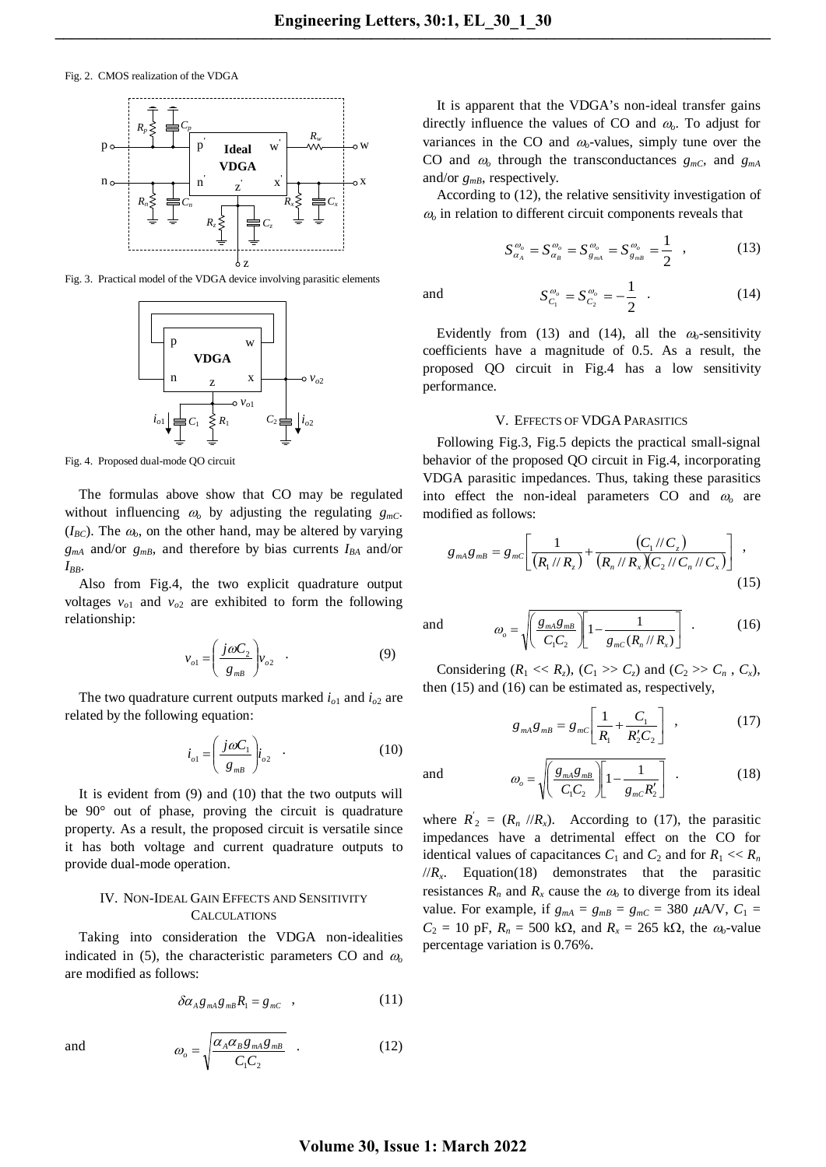and

Fig. 2. CMOS realization of the VDGA



Fig. 3. Practical model of the VDGA device involving parasitic elements



Fig. 4. Proposed dual-mode QO circuit

The formulas above show that CO may be regulated without influencing  $\omega_0$  by adjusting the regulating  $g_{mC}$ .  $(I_{BC})$ . The  $\omega$ <sub>o</sub>, on the other hand, may be altered by varying  $g_{mA}$  and/or  $g_{mB}$ , and therefore by bias currents  $I_{BA}$  and/or *IBB*.

Also from Fig.4, the two explicit quadrature output voltages  $v_{o1}$  and  $v_{o2}$  are exhibited to form the following relationship:

$$
v_{o1} = \left(\frac{j\omega C_2}{g_{mB}}\right) v_{o2} \quad . \tag{9}
$$

The two quadrature current outputs marked *io*1 and *io*<sup>2</sup> are related by the following equation:

$$
i_{o1} = \left(\frac{j\omega C_1}{g_{mB}}\right)i_{o2} \quad . \tag{10}
$$

It is evident from (9) and (10) that the two outputs will be 90° out of phase, proving the circuit is quadrature property. As a result, the proposed circuit is versatile since it has both voltage and current quadrature outputs to provide dual-mode operation.

## IV. NON-IDEAL GAIN EFFECTS AND SENSITIVITY CALCULATIONS

Taking into consideration the VDGA non-idealities indicated in (5), the characteristic parameters CO and  $\omega$ <sub>o</sub> are modified as follows:

$$
\delta \alpha_A g_{mA} g_{mB} R_1 = g_{mC} \quad , \tag{11}
$$

$$
\omega_o = \sqrt{\frac{\alpha_A \alpha_B g_{mA} g_{mB}}{C_1 C_2}} \quad . \tag{12}
$$

It is apparent that the VDGA's non-ideal transfer gains directly influence the values of CO and <sup>ω</sup>*o*. To adjust for variances in the CO and  $\omega$ -values, simply tune over the CO and  $\omega_0$  through the transconductances  $g_{mc}$ , and  $g_{ma}$ and/or  $g_{mB}$ , respectively.

According to (12), the relative sensitivity investigation of <sup>ω</sup>*<sup>o</sup>* in relation to different circuit components reveals that

$$
S_{\alpha_{A}}^{\omega_{o}} = S_{\alpha_{B}}^{\omega_{o}} = S_{g_{mA}}^{\omega_{o}} = S_{g_{mB}}^{\omega_{o}} = \frac{1}{2} , \qquad (13)
$$

$$
S_{C_1}^{\omega_o} = S_{C_2}^{\omega_o} = -\frac{1}{2} \quad . \tag{14}
$$

Evidently from (13) and (14), all the  $\omega$ -sensitivity coefficients have a magnitude of 0.5. As a result, the proposed QO circuit in Fig.4 has a low sensitivity performance.

### V. EFFECTS OF VDGA PARASITICS

Following Fig.3, Fig.5 depicts the practical small-signal behavior of the proposed QO circuit in Fig.4, incorporating VDGA parasitic impedances. Thus, taking these parasitics into effect the non-ideal parameters CO and <sup>ω</sup>*<sup>o</sup>* are modified as follows:

$$
g_{mA}g_{mB} = g_{mC} \left[ \frac{1}{(R_1 // R_z)} + \frac{(C_1 // C_z)}{(R_n // R_x)(C_2 // C_n // C_x)} \right],
$$
\n(15)

and  $\omega_o = \sqrt{\left(\frac{g_{mA}g_{mB}}{C_1C_2}\right)}\left[1-\frac{1}{g_{mC}(R_n//R_x)}\right]$ J  $\left( \right)$  $\overline{\phantom{a}}$  $=\sqrt{\left(\frac{S_{mA}S_{mB}}{C_1C_2}\right)}\left[1-\frac{1}{g_{mC}(R_n//R_x)}\right]$  $\mathcal{L}_1 \cup \mathcal{L}_2$   $\mathcal{L}_2$   $\mathcal{S}_{mC} \cup \mathcal{N}_n$   $\cup \mathcal{N}_x$  $P_o = \sqrt{\frac{S_{mA}S_{mB}}{C_1C_2}} \sqrt{1 - \frac{1}{g_{mC}(R_n)/R}}$  $\omega = \left| \frac{g_{mA}g_{mB}}{1 - \frac{1}{\sqrt{1 - \frac{1}{\sqrt{1 - \frac{1}{\sqrt{1 - \frac{1}{\sqrt{1 - \frac{1}{\sqrt{1 - \frac{1}{\sqrt{1 - \frac{1}{\sqrt{1 - \frac{1}{\sqrt{1 - \frac{1}{\sqrt{1 - \frac{1}{\sqrt{1 - \frac{1}{\sqrt{1 - \frac{1}{\sqrt{1 - \frac{1}{\sqrt{1 - \frac{1}{\sqrt{1 - \frac{1}{\sqrt{1 - \frac{1}{\sqrt{1 - \frac{1}{\sqrt{1 - \frac{1}{\sqrt{1 - \frac{1}{\sqrt{1 - \frac{1}{\sqrt{$ 

Considering  $(R_1 \ll R_z)$ ,  $(C_1 \gg C_z)$  and  $(C_2 \gg C_n$ ,  $C_x)$ , then (15) and (16) can be estimated as, respectively,

$$
g_{\scriptscriptstyle mA}g_{\scriptscriptstyle mB} = g_{\scriptscriptstyle mC} \left[ \frac{1}{R_1} + \frac{C_1}{R_2'C_2} \right] \quad , \tag{17}
$$

and  $\omega_o = \sqrt{\left(\frac{g_{mA}g_{mB}}{C_1C_2}\right)}\left[1-\frac{1}{g_{mC}R_2'}\right]$  $\left|1-\frac{1}{g_{\rm mc}R_2'}\right|$ )  $\backslash$  $\overline{\phantom{a}}$  $\overline{\phantom{0}}$  $=\int$  $1\epsilon_2$   $\epsilon_1$   $\delta_m c \cdot \epsilon_2$  $\left( \frac{R_{mA}g_{mB}}{C_1C_2} \right) 1 - \frac{1}{g_{mC}R}$  $g_{mA}g$  $\omega_o = \sqrt{\frac{8 \text{ mA} \delta \text{ m}}{C_1 C_2}} \left[1 - \frac{1}{g_{mC}}\right]$  $(18)$ 

where  $R_{2}^{'} = (R_{n} / R_{x})$ . According to (17), the parasitic impedances have a detrimental effect on the CO for identical values of capacitances  $C_1$  and  $C_2$  and for  $R_1 \ll R_n$  $//R<sub>x</sub>$ . Equation(18) demonstrates that the parasitic resistances  $R_n$  and  $R_x$  cause the  $\omega_0$  to diverge from its ideal value. For example, if  $g_{mA} = g_{mB} = g_{mC} = 380 \mu A/V$ ,  $C_1 =$  $C_2 = 10$  pF,  $R_n = 500$  kΩ, and  $R_x = 265$  kΩ, the  $\omega_0$ -value percentage variation is 0.76%.

and

## **Volume 30, Issue 1: March 2022**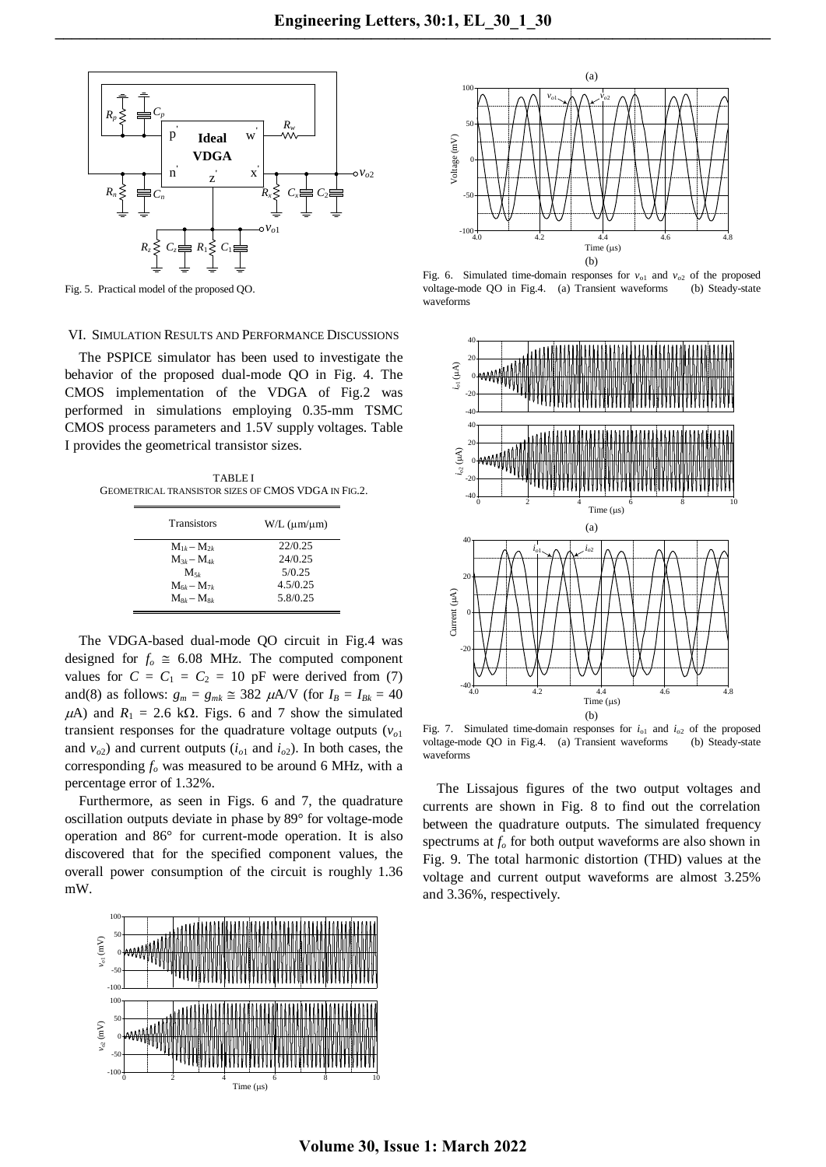

Fig. 5. Practical model of the proposed QO.

### VI. SIMULATION RESULTS AND PERFORMANCE DISCUSSIONS

The PSPICE simulator has been used to investigate the behavior of the proposed dual-mode QO in Fig. 4. The CMOS implementation of the VDGA of Fig.2 was performed in simulations employing 0.35-mm TSMC CMOS process parameters and 1.5V supply voltages. Table I provides the geometrical transistor sizes.

TABLE I GEOMETRICAL TRANSISTOR SIZES OF CMOS VDGA IN FIG.2.

| <b>Transistors</b> | $W/L$ ( $\mu$ m/ $\mu$ m) |
|--------------------|---------------------------|
| $M_{1k} - M_{2k}$  | 22/0.25                   |
| $M_{3k} - M_{4k}$  | 24/0.25                   |
| $M_{5k}$           | 5/0.25                    |
| $M_{6k} - M_{7k}$  | 4.5/0.25                  |
| $M_{8k} - M_{8k}$  | 5.8/0.25                  |

The VDGA-based dual-mode QO circuit in Fig.4 was designed for  $f<sub>o</sub> \approx 6.08$  MHz. The computed component values for  $C = C_1 = C_2 = 10$  pF were derived from (7) and(8) as follows:  $g_m = g_{mk} \approx 382 \mu A/V$  (for  $I_B = I_{Bk} = 40$  $\mu$ A) and  $R_1 = 2.6$  kΩ. Figs. 6 and 7 show the simulated transient responses for the quadrature voltage outputs  $(v<sub>o1</sub>)$ and  $v_{o2}$ ) and current outputs ( $i_{o1}$  and  $i_{o2}$ ). In both cases, the corresponding  $f<sub>o</sub>$  was measured to be around 6 MHz, with a percentage error of 1.32%.

Furthermore, as seen in Figs. 6 and 7, the quadrature oscillation outputs deviate in phase by 89° for voltage-mode operation and 86° for current-mode operation. It is also discovered that for the specified component values, the overall power consumption of the circuit is roughly 1.36 mW.





Fig. 6. Simulated time-domain responses for  $v_{01}$  and  $v_{02}$  of the proposed voltage-mode QO in Fig.4. (a) Transient waveforms (b) Steady-state waveforms



Fig. 7. Simulated time-domain responses for  $i_{01}$  and  $i_{02}$  of the proposed voltage-mode QO in Fig.4. (a) Transient waveforms (b) Steady-state waveforms

The Lissajous figures of the two output voltages and currents are shown in Fig. 8 to find out the correlation between the quadrature outputs. The simulated frequency spectrums at  $f<sub>o</sub>$  for both output waveforms are also shown in Fig. 9. The total harmonic distortion (THD) values at the voltage and current output waveforms are almost 3.25% and 3.36%, respectively.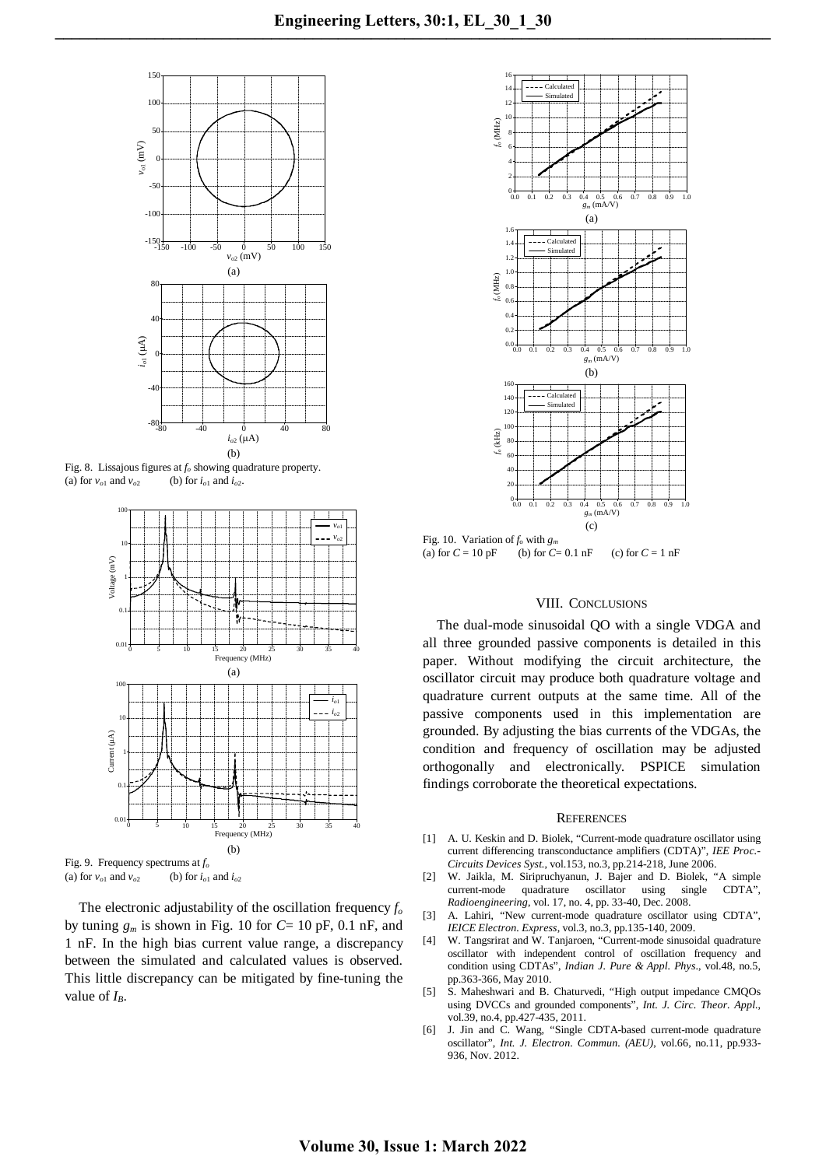

Fig. 8. Lissajous figures at  $f_0$  showing quadrature property. (a) for  $v_{o1}$  and  $v_{o2}$  (b) for  $i_{o1}$  and  $i_{o2}$ .



Fig. 9. Frequency spectrums at  $f_o$ <br>(a) for  $v_{o1}$  and  $v_{o2}$  (b) for  $i_{o1}$  and  $i_{o2}$ 

The electronic adjustability of the oscillation frequency  $f_0$ by tuning  $g_m$  is shown in Fig. 10 for  $C=10$  pF, 0.1 nF, and 1 nF. In the high bias current value range, a discrepancy between the simulated and calculated values is observed. This little discrepancy can be mitigated by fine-tuning the value of  $I_B$ .



Fig. 10. Variation of  $f_0$  with  $g_m$ (a) for  $C = 10 \text{ pF}$  (b) for  $C = 0.1 \text{ nF}$  (c) for  $C = 1 \text{ nF}$ 

## VIII. CONCLUSIONS

The dual-mode sinusoidal QO with a single VDGA and all three grounded passive components is detailed in this paper. Without modifying the circuit architecture, the oscillator circuit may produce both quadrature voltage and quadrature current outputs at the same time. All of the passive components used in this implementation are grounded. By adjusting the bias currents of the VDGAs, the condition and frequency of oscillation may be adjusted orthogonally and electronically. PSPICE simulation findings corroborate the theoretical expectations.

#### **REFERENCES**

- [1] A. U. Keskin and D. Biolek, "Current-mode quadrature oscillator using current differencing transconductance amplifiers (CDTA)", *IEE Proc.- Circuits Devices Syst.*, vol.153, no.3, pp.214-218, June 2006.
- [2] W. Jaikla, M. Siripruchyanun, J. Bajer and D. Biolek, "A simple current-mode quadrature oscillator using single CDTA", *Radioengineering*, vol. 17, no. 4, pp. 33-40, Dec. 2008.
- [3] A. Lahiri, "New current-mode quadrature oscillator using CDTA", *IEICE Electron. Express*, vol.3, no.3, pp.135-140, 2009.
- [4] W. Tangsrirat and W. Tanjaroen, "Current-mode sinusoidal quadrature oscillator with independent control of oscillation frequency and condition using CDTAs", *Indian J. Pure & Appl. Phys*., vol.48, no.5, pp.363-366, May 2010.
- [5] S. Maheshwari and B. Chaturvedi, "High output impedance CMQOs using DVCCs and grounded components", *Int. J. Circ. Theor. Appl.*, vol.39, no.4, pp.427-435, 2011.
- [6] J. Jin and C. Wang, "Single CDTA-based current-mode quadrature oscillator", *Int. J. Electron. Commun. (AEU)*, vol.66, no.11, pp.933- 936, Nov. 2012.